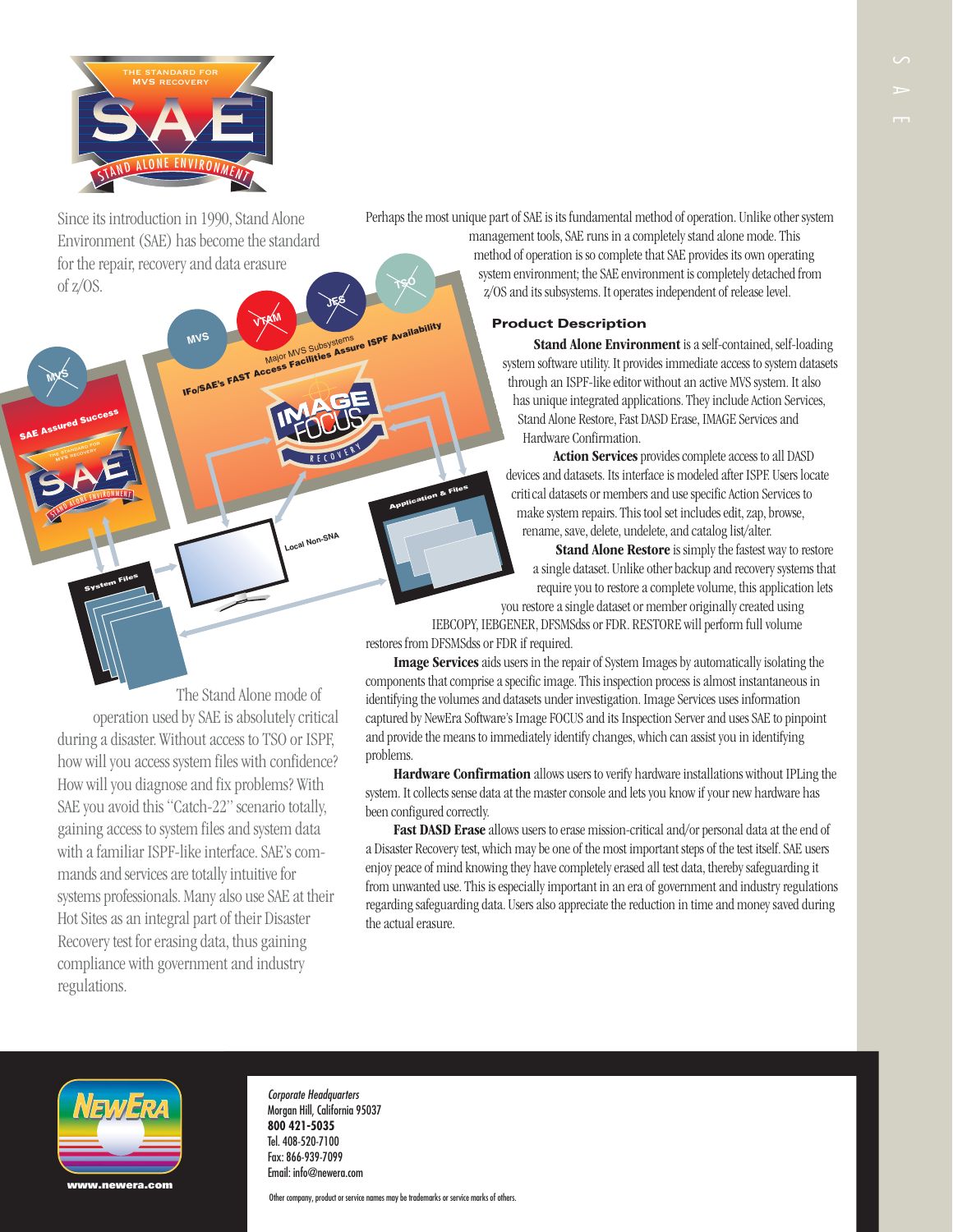

Since its introduction in 1990, Stand Alone Environment (SAE) has become the standard for the repair, recovery and data erasure of z/OS. **MVS** *VTAM <b>ITAGEMS* **LISPF AVAIL** 

STAND ALONE ENVIRONMENT

**System Files**

THE STANDARD FOR

**SAE Assured Success**

**MVS**

Perhaps the most unique part of SAE is its fundamental method of operation. Unlike other system management tools, SAE runs in a completely stand alone mode. This

method of operation is so complete that SAE provides its own operating system environment; the SAE environment is completely detached from z/OS and its subsystems. It operates independent of release level.

## **Product Description**

**Stand Alone Environment** is a self-contained, self-loading system software utility. It provides immediate access to system datasets through an ISPF-like editor without an active MVS system. It also has unique integrated applications. They include Action Services, Stand Alone Restore, Fast DASD Erase, IMAGE Services and Hardware Confirmation.

**Action Services** provides complete access to all DASD devices and datasets. Its interface is modeled after ISPF. Users locate criti cal datasets or members and use specific Action Services to make system repairs. This tool set includes edit, zap, browse, rename, save, delete, undelete, and catalog list/alter.

**Stand Alone Restore** is simply the fastest way to restore a single dataset. Unlike other backup and recovery systems that require you to restore a complete volume, this application lets you restore a single dataset or member originally created using

IEBCOPY, IEBGENER, DFSMSdss or FDR. RESTORE will perform full volume restores from DFSMSdss or FDR if required.

**Image Services**aids users in the repair of System Images by automatically isolating the components that comprise a specific image. This inspection process is almost instantaneous in identifying the volumes and datasets under investigation. Image Services uses information captured by NewEra Software's Image FOCUS and its Inspection Server and uses SAE to pinpoint and provide the means to immediately identify changes, which can assist you in identifying problems.

**Hardware Confirmation** allows users to verify hardware installations without IPLing the system. It collects sense data at the master console and lets you know if your new hardware has been configured correctly.

**Fast DASD Erase** allows users to erase mission-critical and/or personal data at the end of a Disaster Recovery test, which may be one of the most important steps of the test itself. SAE users enjoy peace of mind knowing they have completely erased all test data, thereby safeguarding it from unwanted use. This is especially important in an era of government and industry regulations regarding safeguarding data. Users also appreciate the reduction in time and money saved during the actual erasure.

during a disaster. Without access to TSO or ISPF, how will you access system files with confidence? How will you diagnose and fix problems? With SAE you avoid this "Catch-22" scenario totally, gaining access to system files and system data with a familiar ISPF-like interface. SAE's commands and services are totally intuitive for systems professionals. Many also use SAE at their Hot Sites as an integral part of their Disaster Recovery test for erasing data, thus gaining compliance with government and industry regulations.

The Stand Alone mode of

R E COVERY

Major MVS Subsystems MVS<br>IFo/SAE's FAST Access Facilities Assure ISPF Availability

Local Non-SNA

**Application & Files**

operation used by SAE is absolutely critical



Corporate Headquarters Morgan Hill, California 95037 **800 421-5035** Tel. 408-520-7100 Fax: 866-939-7099 Email: info@newera.com

Other company, product or service names may be trademarks or service marks of others.